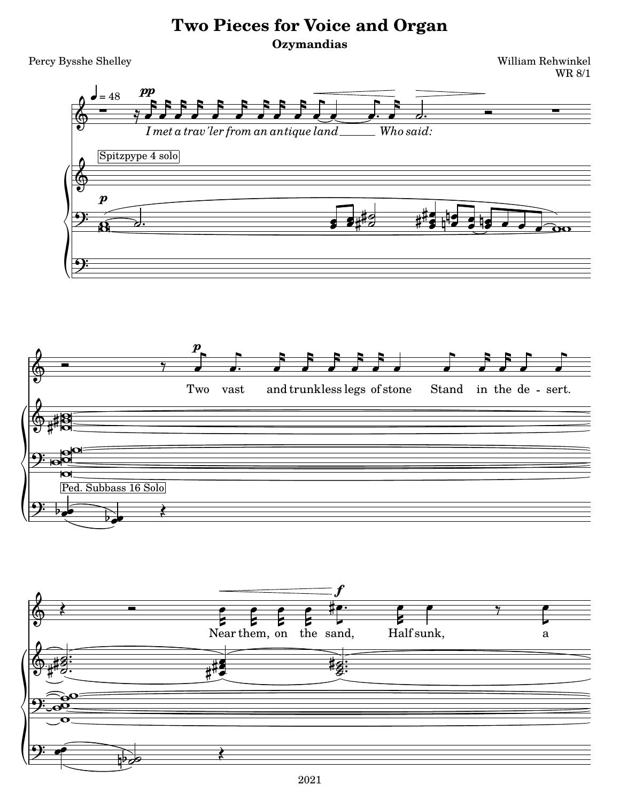## **Two Pieces for Voice and Organ Ozymandias**

Percy Bysshe Shelley William Rehwinkel

WR 8/1





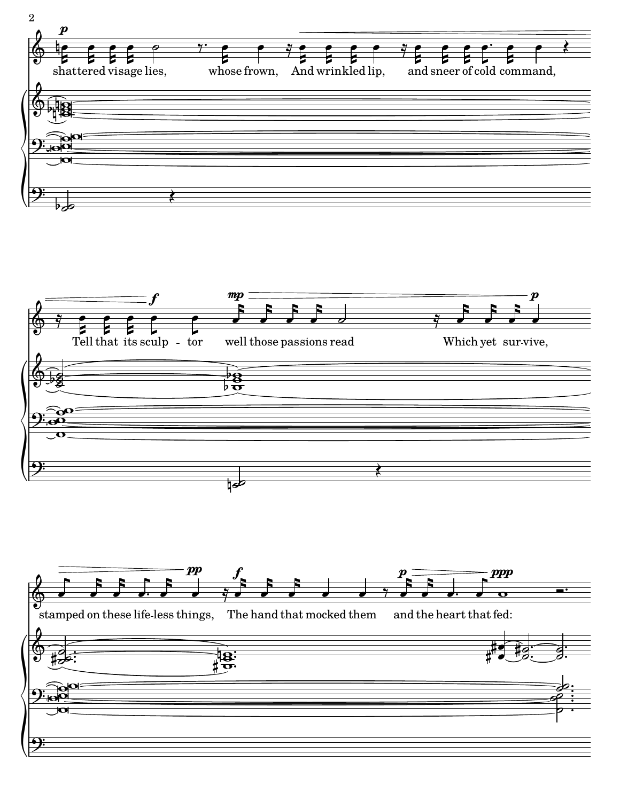



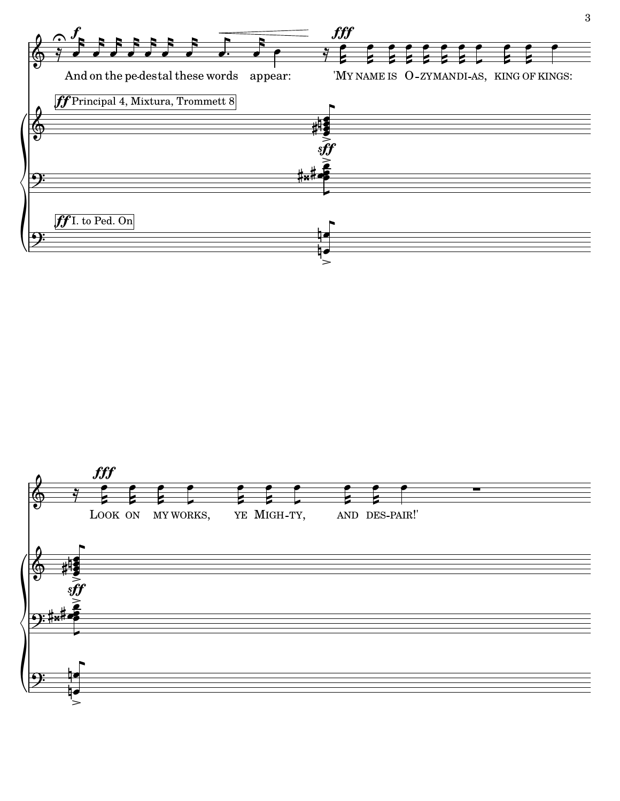

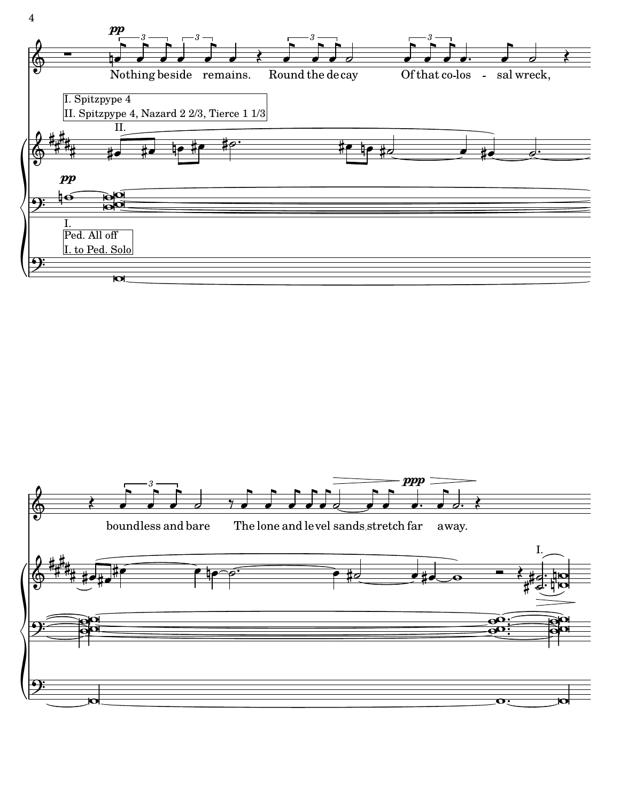

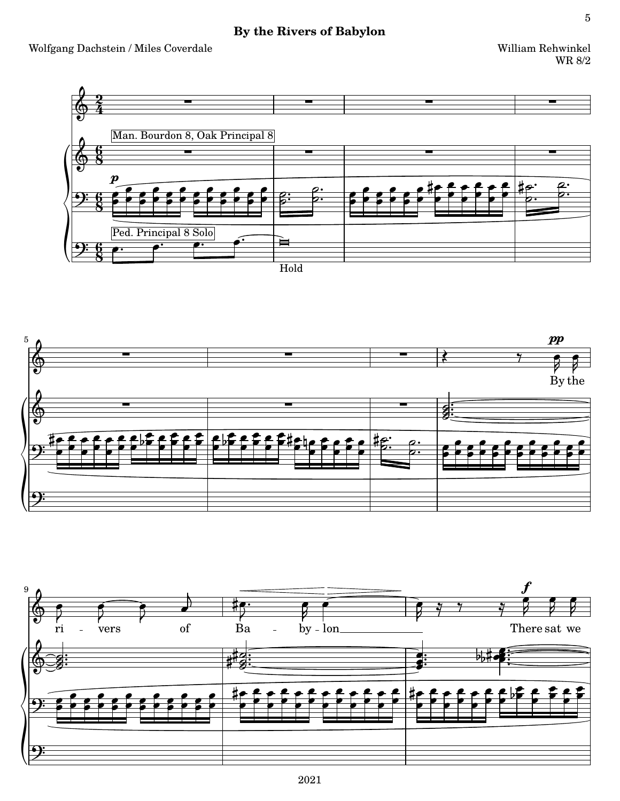## By the Rivers of Babylon

William Rehwinkel  $\rm WR$ 8/2





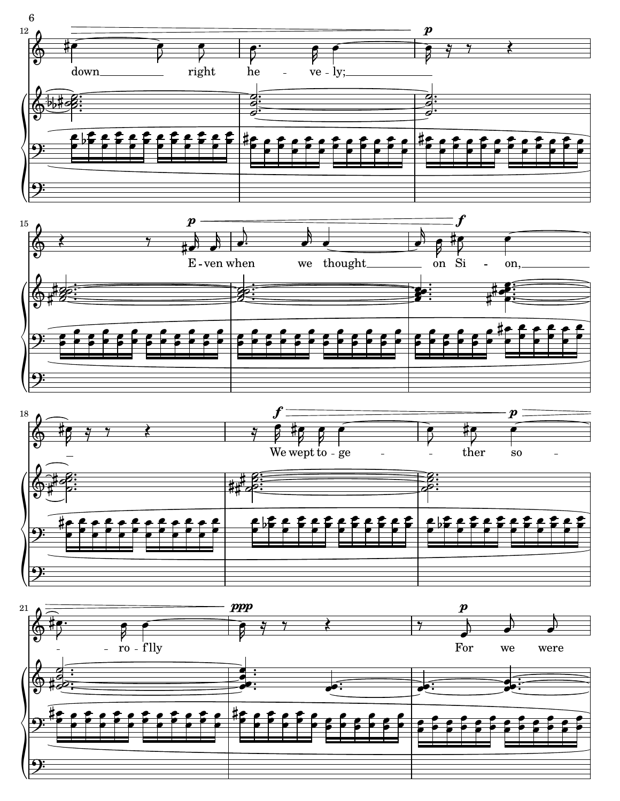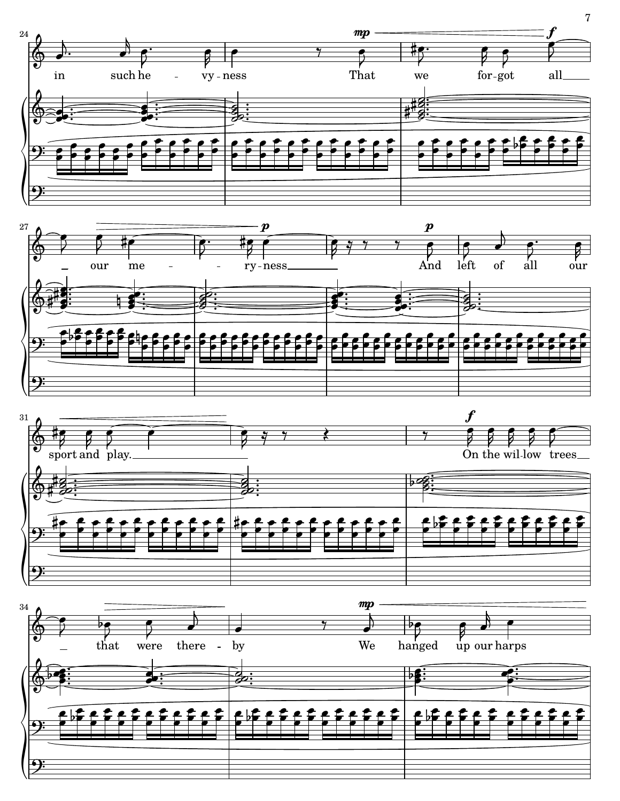







7